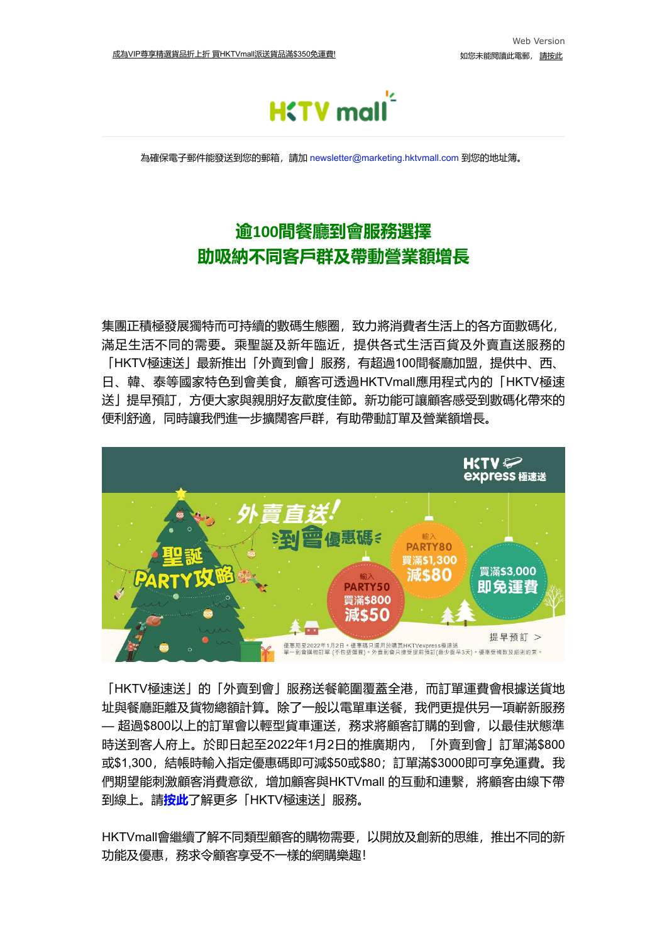

為確保電子郵件能發送到您的郵箱,請加 [newsletter@marketing.hktvmall.com](mailto:newsletter@hktv.com.hk) 到您的地址簿。

## **逾100間餐廳到會服務選擇 助吸納不同客戶群及帶動營業額增長**

集團正積極發展獨特而可持續的數碼生態圈,致力將消費者生活上的各方面數碼化, 滿足生活不同的需要。乘聖誕及新年臨近,提供各式生活百貨及外賣直送服務的 「HKTV極速送」最新推出「外賣到會」服務,有超過100間餐廳加盟,提供中、西、 日、韓、泰等國家特色到會美食,顧客可透過HKTVmall應用程式内的「HKTV極速 送」提早預訂,方便大家與親朋好友歡度佳節。新功能可讓顧客感受到數碼化帶來的 便利舒適,同時讓我們進一步擴闊客戶群,有助帶動訂單及營業額增長。



「HKTV極速送」的「外賣到會」服務送餐範圍覆蓋全港,而訂單運費會根據送貨地 址與餐廳距離及貨物總額計算。除了一般以電單車送餐,我們更提供另一項嶄新服務 — 超過\$800以上的訂單會以輕型貨車運送,務求將顧客訂購的到會,以最佳狀態準 時送到客人府上。於即日起至2022年1月2日的推廣期內,「外賣到會」訂單滿\$800 或\$1,300,結帳時輸入指定優惠碼即可減\$50或\$80;訂單滿\$3000即可享免運費。我 們期望能刺激顧客消費意欲,增加顧客與HKTVmall 的互動和連繫,將顧客由線下帶 到線上。請**[按此](https://click.marketing.hktvmall.com/?qs=4253575a34786e072e449af6095ef32be7744955338431686f15d3379a718938da1e3243ae6fbd9475b2c529c822cc8d74ea4800848fb93c)**了解更多「HKTV極速送」服務。

HKTVmall會繼續了解不同類型顧客的購物需要,以開放及創新的思維,推出不同的新 功能及優惠,務求令顧客享受不一樣的網購樂趣!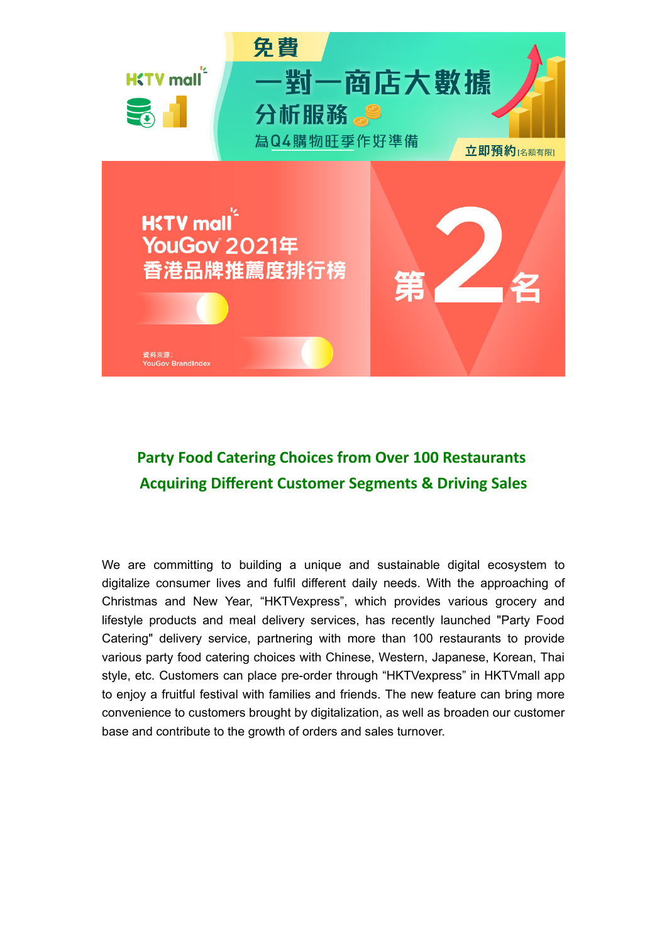

## **Party Food Catering Choices from Over 100 Restaurants Acquiring Different Customer Segments & Driving Sales**

We are committing to building a unique and sustainable digital ecosystem to digitalize consumer lives and fulfil different daily needs. With the approaching of Christmas and New Year, "HKTVexpress", which provides various grocery and lifestyle products and meal delivery services, has recently launched "Party Food Catering" delivery service, partnering with more than 100 restaurants to provide various party food catering choices with Chinese, Western, Japanese, Korean, Thai style, etc. Customers can place pre-order through "HKTVexpress" in HKTVmall app to enjoy a fruitful festival with families and friends. The new feature can bring more convenience to customers brought by digitalization, as well as broaden our customer base and contribute to the growth of orders and sales turnover.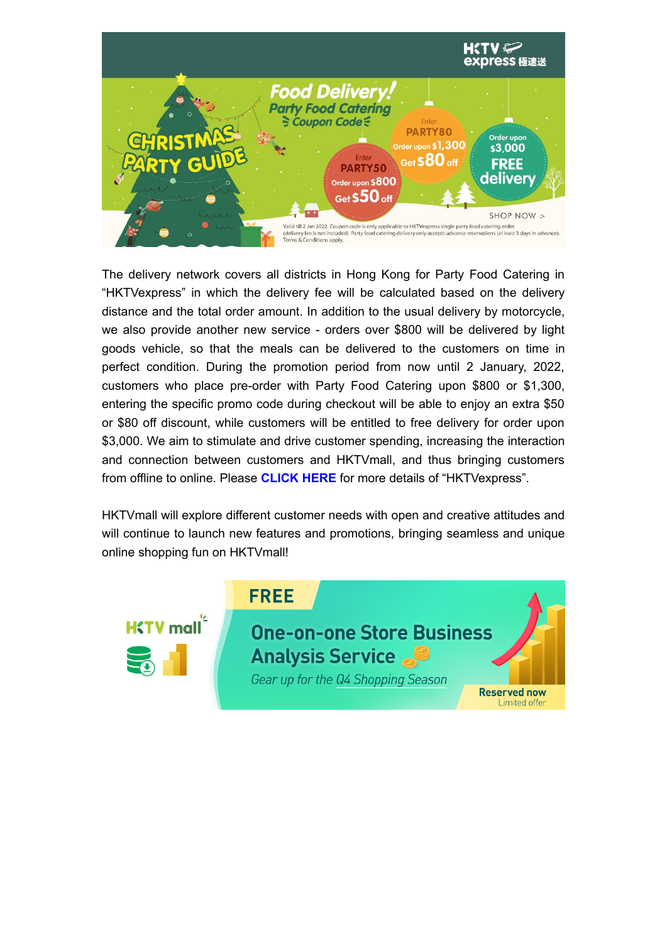

The delivery network covers all districts in Hong Kong for Party Food Catering in "HKTVexpress" in which the delivery fee will be calculated based on the delivery distance and the total order amount. In addition to the usual delivery by motorcycle, we also provide another new service - orders over \$800 will be delivered by light goods vehicle, so that the meals can be delivered to the customers on time in perfect condition. During the promotion period from now until 2 January, 2022, customers who place pre-order with Party Food Catering upon \$800 or \$1,300, entering the specific promo code during checkout will be able to enjoy an extra \$50 or \$80 off discount, while customers will be entitled to free delivery for order upon \$3,000. We aim to stimulate and drive customer spending, increasing the interaction and connection between customers and HKTVmall, and thus bringing customers from offline to online. Please **[CLICK](https://click.marketing.hktvmall.com/?qs=4253575a34786e072a0dc109ac240a9c3584e7adeab62ffce47b9df59e18f2eda0b0bb665214a2eefd5ed330c2b92295baddeff100ec4ba1) HERE** for more details of "HKTVexpress".

HKTVmall will explore different customer needs with open and creative attitudes and will continue to launch new features and promotions, bringing seamless and unique online shopping fun on HKTVmall!